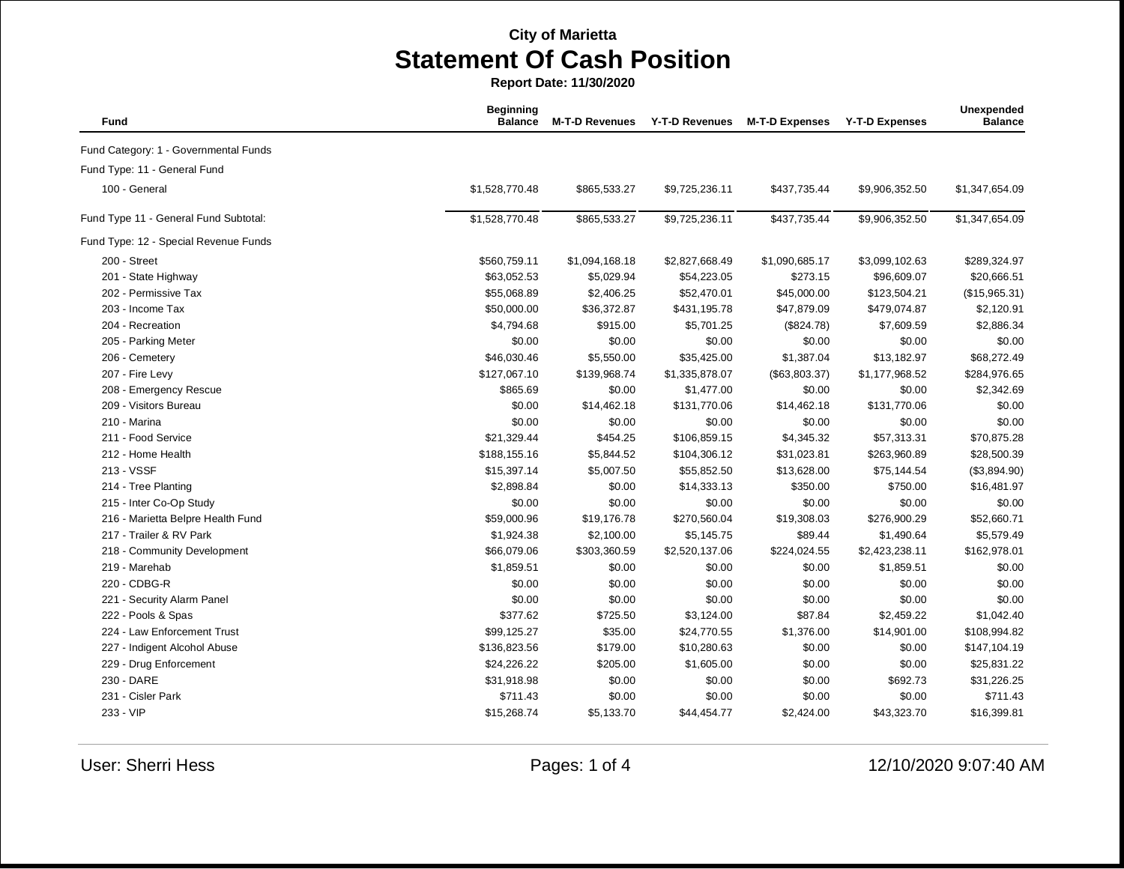**Report Date: 11/30/2020**

| Fund                                  | <b>Beginning</b><br><b>Balance</b> | <b>M-T-D Revenues</b> | <b>Y-T-D Revenues</b> | <b>M-T-D Expenses</b> | <b>Y-T-D Expenses</b> | Unexpended<br><b>Balance</b> |
|---------------------------------------|------------------------------------|-----------------------|-----------------------|-----------------------|-----------------------|------------------------------|
| Fund Category: 1 - Governmental Funds |                                    |                       |                       |                       |                       |                              |
| Fund Type: 11 - General Fund          |                                    |                       |                       |                       |                       |                              |
| 100 - General                         | \$1,528,770.48                     | \$865,533.27          | \$9,725,236.11        | \$437,735.44          | \$9,906,352.50        | \$1,347,654.09               |
| Fund Type 11 - General Fund Subtotal: | \$1,528,770.48                     | \$865,533.27          | \$9,725,236.11        | \$437,735.44          | \$9,906,352.50        | \$1,347,654.09               |
| Fund Type: 12 - Special Revenue Funds |                                    |                       |                       |                       |                       |                              |
| 200 - Street                          | \$560,759.11                       | \$1,094,168.18        | \$2,827,668.49        | \$1,090,685.17        | \$3,099,102.63        | \$289,324.97                 |
| 201 - State Highway                   | \$63,052.53                        | \$5,029.94            | \$54,223.05           | \$273.15              | \$96,609.07           | \$20,666.51                  |
| 202 - Permissive Tax                  | \$55,068.89                        | \$2,406.25            | \$52,470.01           | \$45,000.00           | \$123,504.21          | (\$15,965.31)                |
| 203 - Income Tax                      | \$50,000.00                        | \$36,372.87           | \$431,195.78          | \$47,879.09           | \$479,074.87          | \$2,120.91                   |
| 204 - Recreation                      | \$4,794.68                         | \$915.00              | \$5,701.25            | (\$824.78)            | \$7,609.59            | \$2,886.34                   |
| 205 - Parking Meter                   | \$0.00                             | \$0.00                | \$0.00                | \$0.00                | \$0.00                | \$0.00                       |
| 206 - Cemetery                        | \$46,030.46                        | \$5,550.00            | \$35,425.00           | \$1,387.04            | \$13,182.97           | \$68,272.49                  |
| 207 - Fire Levy                       | \$127,067.10                       | \$139,968.74          | \$1,335,878.07        | (\$63,803.37)         | \$1,177,968.52        | \$284,976.65                 |
| 208 - Emergency Rescue                | \$865.69                           | \$0.00                | \$1,477.00            | \$0.00                | \$0.00                | \$2,342.69                   |
| 209 - Visitors Bureau                 | \$0.00                             | \$14,462.18           | \$131,770.06          | \$14,462.18           | \$131,770.06          | \$0.00                       |
| 210 - Marina                          | \$0.00                             | \$0.00                | \$0.00                | \$0.00                | \$0.00                | \$0.00                       |
| 211 - Food Service                    | \$21,329.44                        | \$454.25              | \$106,859.15          | \$4,345.32            | \$57,313.31           | \$70,875.28                  |
| 212 - Home Health                     | \$188,155.16                       | \$5,844.52            | \$104,306.12          | \$31,023.81           | \$263,960.89          | \$28,500.39                  |
| 213 - VSSF                            | \$15,397.14                        | \$5,007.50            | \$55,852.50           | \$13,628.00           | \$75,144.54           | (\$3,894.90)                 |
| 214 - Tree Planting                   | \$2,898.84                         | \$0.00                | \$14,333.13           | \$350.00              | \$750.00              | \$16,481.97                  |
| 215 - Inter Co-Op Study               | \$0.00                             | \$0.00                | \$0.00                | \$0.00                | \$0.00                | \$0.00                       |
| 216 - Marietta Belpre Health Fund     | \$59,000.96                        | \$19,176.78           | \$270,560.04          | \$19,308.03           | \$276,900.29          | \$52,660.71                  |
| 217 - Trailer & RV Park               | \$1,924.38                         | \$2,100.00            | \$5,145.75            | \$89.44               | \$1,490.64            | \$5,579.49                   |
| 218 - Community Development           | \$66,079.06                        | \$303,360.59          | \$2,520,137.06        | \$224,024.55          | \$2,423,238.11        | \$162,978.01                 |
| 219 - Marehab                         | \$1,859.51                         | \$0.00                | \$0.00                | \$0.00                | \$1,859.51            | \$0.00                       |
| 220 - CDBG-R                          | \$0.00                             | \$0.00                | \$0.00                | \$0.00                | \$0.00                | \$0.00                       |
| 221 - Security Alarm Panel            | \$0.00                             | \$0.00                | \$0.00                | \$0.00                | \$0.00                | \$0.00                       |
| 222 - Pools & Spas                    | \$377.62                           | \$725.50              | \$3,124.00            | \$87.84               | \$2,459.22            | \$1,042.40                   |
| 224 - Law Enforcement Trust           | \$99,125.27                        | \$35.00               | \$24,770.55           | \$1,376.00            | \$14,901.00           | \$108,994.82                 |
| 227 - Indigent Alcohol Abuse          | \$136,823.56                       | \$179.00              | \$10,280.63           | \$0.00                | \$0.00                | \$147,104.19                 |
| 229 - Drug Enforcement                | \$24,226.22                        | \$205.00              | \$1,605.00            | \$0.00                | \$0.00                | \$25,831.22                  |
| 230 - DARE                            | \$31,918.98                        | \$0.00                | \$0.00                | \$0.00                | \$692.73              | \$31,226.25                  |
| 231 - Cisler Park                     | \$711.43                           | \$0.00                | \$0.00                | \$0.00                | \$0.00                | \$711.43                     |
| 233 - VIP                             | \$15,268.74                        | \$5,133.70            | \$44,454.77           | \$2,424.00            | \$43,323.70           | \$16,399.81                  |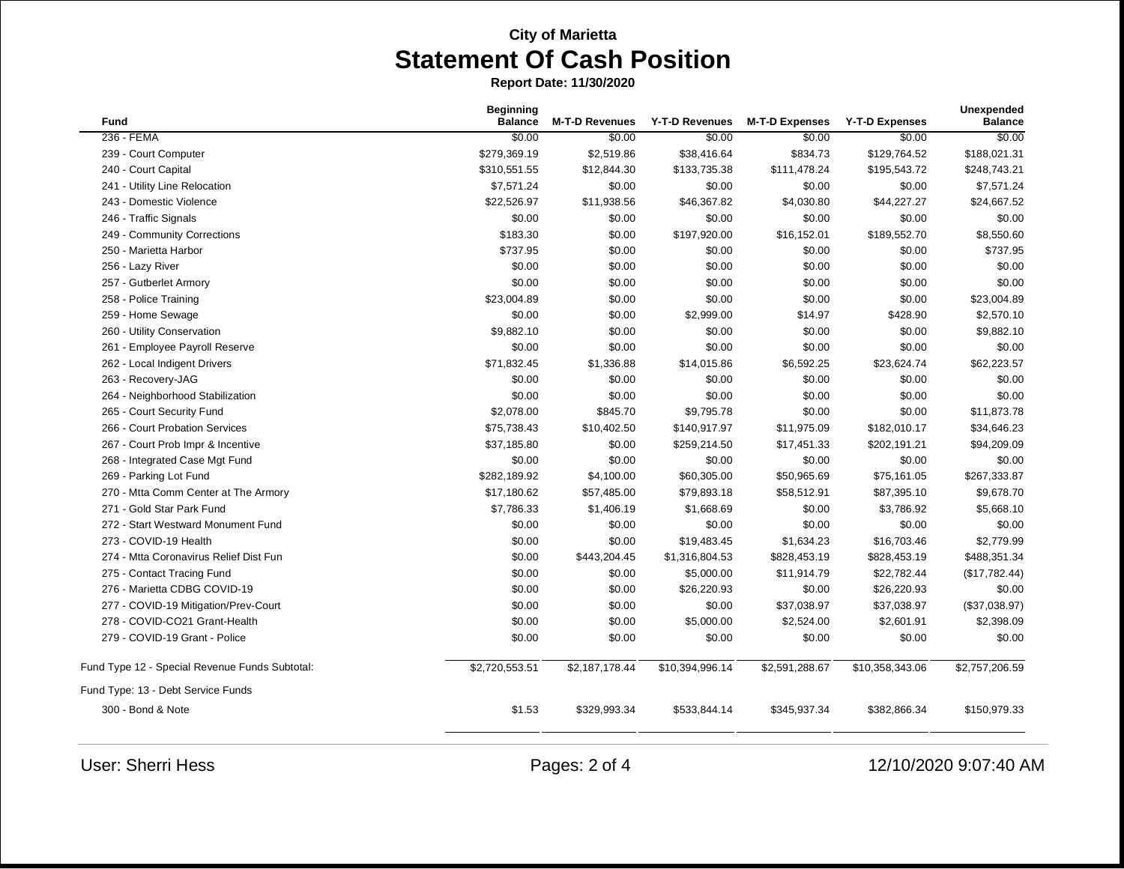**Report Date: 11/30/2020**

| <b>Fund</b>                                    | <b>Beginning</b><br><b>Balance</b> | <b>M-T-D Revenues</b> | Y-T-D Revenues  | <b>M-T-D Expenses</b> | <b>Y-T-D Expenses</b> | Unexpended<br><b>Balance</b> |
|------------------------------------------------|------------------------------------|-----------------------|-----------------|-----------------------|-----------------------|------------------------------|
| 236 - FEMA                                     | \$0.00                             | \$0.00                | \$0.00          | \$0.00                | \$0.00                | \$0.00                       |
| 239 - Court Computer                           | \$279,369.19                       | \$2,519.86            | \$38,416.64     | \$834.73              | \$129,764.52          | \$188,021.31                 |
| 240 - Court Capital                            | \$310,551.55                       | \$12,844.30           | \$133,735.38    | \$111,478.24          | \$195,543.72          | \$248,743.21                 |
| 241 - Utility Line Relocation                  | \$7,571.24                         | \$0.00                | \$0.00          | \$0.00                | \$0.00                | \$7,571.24                   |
| 243 - Domestic Violence                        | \$22,526.97                        | \$11,938.56           | \$46,367.82     | \$4,030.80            | \$44,227.27           | \$24,667.52                  |
| 246 - Traffic Signals                          | \$0.00                             | \$0.00                | \$0.00          | \$0.00                | \$0.00                | \$0.00                       |
| 249 - Community Corrections                    | \$183.30                           | \$0.00                | \$197,920.00    | \$16,152.01           | \$189,552.70          | \$8,550.60                   |
| 250 - Marietta Harbor                          | \$737.95                           | \$0.00                | \$0.00          | \$0.00                | \$0.00                | \$737.95                     |
| 256 - Lazy River                               | \$0.00                             | \$0.00                | \$0.00          | \$0.00                | \$0.00                | \$0.00                       |
| 257 - Gutberlet Armory                         | \$0.00                             | \$0.00                | \$0.00          | \$0.00                | \$0.00                | \$0.00                       |
| 258 - Police Training                          | \$23,004.89                        | \$0.00                | \$0.00          | \$0.00                | \$0.00                | \$23,004.89                  |
| 259 - Home Sewage                              | \$0.00                             | \$0.00                | \$2,999.00      | \$14.97               | \$428.90              | \$2,570.10                   |
| 260 - Utility Conservation                     | \$9,882.10                         | \$0.00                | \$0.00          | \$0.00                | \$0.00                | \$9,882.10                   |
| 261 - Employee Payroll Reserve                 | \$0.00                             | \$0.00                | \$0.00          | \$0.00                | \$0.00                | \$0.00                       |
| 262 - Local Indigent Drivers                   | \$71,832.45                        | \$1,336.88            | \$14,015.86     | \$6,592.25            | \$23,624.74           | \$62,223.57                  |
| 263 - Recovery-JAG                             | \$0.00                             | \$0.00                | \$0.00          | \$0.00                | \$0.00                | \$0.00                       |
| 264 - Neighborhood Stabilization               | \$0.00                             | \$0.00                | \$0.00          | \$0.00                | \$0.00                | \$0.00                       |
| 265 - Court Security Fund                      | \$2,078.00                         | \$845.70              | \$9,795.78      | \$0.00                | \$0.00                | \$11,873.78                  |
| 266 - Court Probation Services                 | \$75,738.43                        | \$10,402.50           | \$140,917.97    | \$11,975.09           | \$182,010.17          | \$34,646.23                  |
| 267 - Court Prob Impr & Incentive              | \$37,185.80                        | \$0.00                | \$259,214.50    | \$17,451.33           | \$202,191.21          | \$94,209.09                  |
| 268 - Integrated Case Mgt Fund                 | \$0.00                             | \$0.00                | \$0.00          | \$0.00                | \$0.00                | \$0.00                       |
| 269 - Parking Lot Fund                         | \$282,189.92                       | \$4,100.00            | \$60,305.00     | \$50,965.69           | \$75,161.05           | \$267,333.87                 |
| 270 - Mtta Comm Center at The Armory           | \$17,180.62                        | \$57,485.00           | \$79,893.18     | \$58,512.91           | \$87,395.10           | \$9,678.70                   |
| 271 - Gold Star Park Fund                      | \$7,786.33                         | \$1,406.19            | \$1,668.69      | \$0.00                | \$3,786.92            | \$5,668.10                   |
| 272 - Start Westward Monument Fund             | \$0.00                             | \$0.00                | \$0.00          | \$0.00                | \$0.00                | \$0.00                       |
| 273 - COVID-19 Health                          | \$0.00                             | \$0.00                | \$19,483.45     | \$1,634.23            | \$16,703.46           | \$2,779.99                   |
| 274 - Mtta Coronavirus Relief Dist Fun         | \$0.00                             | \$443,204.45          | \$1,316,804.53  | \$828,453.19          | \$828,453.19          | \$488,351.34                 |
| 275 - Contact Tracing Fund                     | \$0.00                             | \$0.00                | \$5,000.00      | \$11,914.79           | \$22,782.44           | (\$17,782.44)                |
| 276 - Marietta CDBG COVID-19                   | \$0.00                             | \$0.00                | \$26,220.93     | \$0.00                | \$26,220.93           | \$0.00                       |
| 277 - COVID-19 Mitigation/Prev-Court           | \$0.00                             | \$0.00                | \$0.00          | \$37,038.97           | \$37,038.97           | (\$37,038.97)                |
| 278 - COVID-CO21 Grant-Health                  | \$0.00                             | \$0.00                | \$5,000.00      | \$2,524.00            | \$2,601.91            | \$2,398.09                   |
| 279 - COVID-19 Grant - Police                  | \$0.00                             | \$0.00                | \$0.00          | \$0.00                | \$0.00                | \$0.00                       |
| Fund Type 12 - Special Revenue Funds Subtotal: | \$2,720,553.51                     | \$2,187,178.44        | \$10,394,996.14 | \$2,591,288.67        | \$10,358,343.06       | \$2,757,206.59               |
| Fund Type: 13 - Debt Service Funds             |                                    |                       |                 |                       |                       |                              |
| 300 - Bond & Note                              | \$1.53                             | \$329,993.34          | \$533,844.14    | \$345,937.34          | \$382,866.34          | \$150,979.33                 |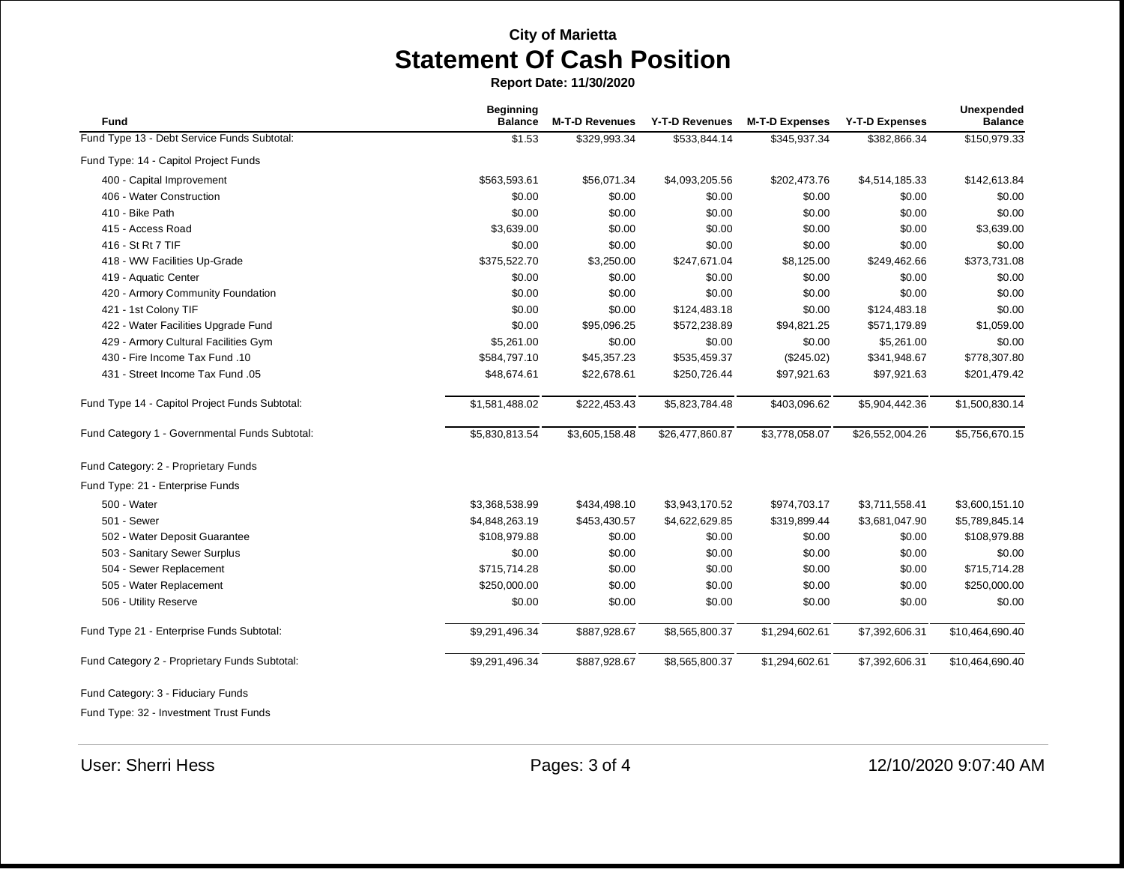**Report Date: 11/30/2020**

| <b>Fund</b>                                    | <b>Beginning</b><br><b>Balance</b> | <b>M-T-D Revenues</b> | <b>Y-T-D Revenues</b> | <b>M-T-D Expenses</b> | <b>Y-T-D Expenses</b> | <b>Unexpended</b><br><b>Balance</b> |
|------------------------------------------------|------------------------------------|-----------------------|-----------------------|-----------------------|-----------------------|-------------------------------------|
| Fund Type 13 - Debt Service Funds Subtotal:    | \$1.53                             | \$329,993.34          | \$533,844.14          | \$345,937.34          | \$382,866.34          | \$150,979.33                        |
| Fund Type: 14 - Capitol Project Funds          |                                    |                       |                       |                       |                       |                                     |
| 400 - Capital Improvement                      | \$563,593.61                       | \$56,071.34           | \$4,093,205.56        | \$202,473.76          | \$4,514,185.33        | \$142,613.84                        |
| 406 - Water Construction                       | \$0.00                             | \$0.00                | \$0.00                | \$0.00                | \$0.00                | \$0.00                              |
| 410 - Bike Path                                | \$0.00                             | \$0.00                | \$0.00                | \$0.00                | \$0.00                | \$0.00                              |
| 415 - Access Road                              | \$3,639.00                         | \$0.00                | \$0.00                | \$0.00                | \$0.00                | \$3,639.00                          |
| 416 - St Rt 7 TIF                              | \$0.00                             | \$0.00                | \$0.00                | \$0.00                | \$0.00                | \$0.00                              |
| 418 - WW Facilities Up-Grade                   | \$375,522.70                       | \$3,250.00            | \$247,671.04          | \$8,125.00            | \$249,462.66          | \$373,731.08                        |
| 419 - Aquatic Center                           | \$0.00                             | \$0.00                | \$0.00                | \$0.00                | \$0.00                | \$0.00                              |
| 420 - Armory Community Foundation              | \$0.00                             | \$0.00                | \$0.00                | \$0.00                | \$0.00                | \$0.00                              |
| 421 - 1st Colony TIF                           | \$0.00                             | \$0.00                | \$124,483.18          | \$0.00                | \$124,483.18          | \$0.00                              |
| 422 - Water Facilities Upgrade Fund            | \$0.00                             | \$95,096.25           | \$572,238.89          | \$94,821.25           | \$571,179.89          | \$1,059.00                          |
| 429 - Armory Cultural Facilities Gym           | \$5,261.00                         | \$0.00                | \$0.00                | \$0.00                | \$5,261.00            | \$0.00                              |
| 430 - Fire Income Tax Fund .10                 | \$584,797.10                       | \$45,357.23           | \$535,459.37          | $(\$245.02)$          | \$341,948.67          | \$778,307.80                        |
| 431 - Street Income Tax Fund .05               | \$48,674.61                        | \$22,678.61           | \$250,726.44          | \$97,921.63           | \$97,921.63           | \$201,479.42                        |
| Fund Type 14 - Capitol Project Funds Subtotal: | \$1,581,488.02                     | \$222,453.43          | \$5,823,784.48        | \$403,096.62          | \$5,904,442.36        | \$1,500,830.14                      |
| Fund Category 1 - Governmental Funds Subtotal: | \$5,830,813.54                     | \$3,605,158.48        | \$26,477,860.87       | \$3,778,058.07        | \$26,552,004.26       | \$5,756,670.15                      |
| Fund Category: 2 - Proprietary Funds           |                                    |                       |                       |                       |                       |                                     |
| Fund Type: 21 - Enterprise Funds               |                                    |                       |                       |                       |                       |                                     |
| 500 - Water                                    | \$3,368,538.99                     | \$434,498.10          | \$3,943,170.52        | \$974,703.17          | \$3,711,558.41        | \$3,600,151.10                      |
| 501 - Sewer                                    | \$4,848,263.19                     | \$453,430.57          | \$4,622,629.85        | \$319,899.44          | \$3,681,047.90        | \$5,789,845.14                      |
| 502 - Water Deposit Guarantee                  | \$108,979.88                       | \$0.00                | \$0.00                | \$0.00                | \$0.00                | \$108,979.88                        |
| 503 - Sanitary Sewer Surplus                   | \$0.00                             | \$0.00                | \$0.00                | \$0.00                | \$0.00                | \$0.00                              |
| 504 - Sewer Replacement                        | \$715,714.28                       | \$0.00                | \$0.00                | \$0.00                | \$0.00                | \$715,714.28                        |
| 505 - Water Replacement                        | \$250,000.00                       | \$0.00                | \$0.00                | \$0.00                | \$0.00                | \$250,000.00                        |
| 506 - Utility Reserve                          | \$0.00                             | \$0.00                | \$0.00                | \$0.00                | \$0.00                | \$0.00                              |
| Fund Type 21 - Enterprise Funds Subtotal:      | \$9,291,496.34                     | \$887,928.67          | \$8,565,800.37        | \$1,294,602.61        | \$7,392,606.31        | \$10,464,690.40                     |
| Fund Category 2 - Proprietary Funds Subtotal:  | \$9,291,496.34                     | \$887,928.67          | \$8,565,800.37        | \$1,294,602.61        | \$7,392,606.31        | \$10,464,690.40                     |
| Fund Category: 3 - Fiduciary Funds             |                                    |                       |                       |                       |                       |                                     |

Fund Type: 32 - Investment Trust Funds